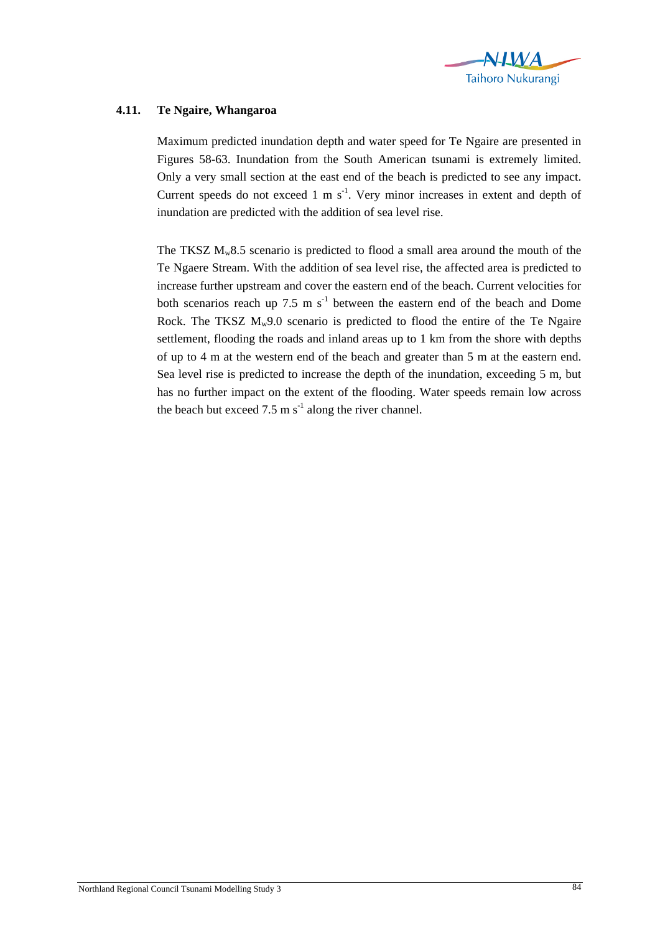

## **4.11. Te Ngaire, Whangaroa**

Maximum predicted inundation depth and water speed for Te Ngaire are presented in Figures 58-63. Inundation from the South American tsunami is extremely limited. Only a very small section at the east end of the beach is predicted to see any impact. Current speeds do not exceed  $1 \text{ m s}^{-1}$ . Very minor increases in extent and depth of inundation are predicted with the addition of sea level rise.

The TKSZ  $M_w8.5$  scenario is predicted to flood a small area around the mouth of the Te Ngaere Stream. With the addition of sea level rise, the affected area is predicted to increase further upstream and cover the eastern end of the beach. Current velocities for both scenarios reach up 7.5 m  $s^{-1}$  between the eastern end of the beach and Dome Rock. The TKSZ  $M_w9.0$  scenario is predicted to flood the entire of the Te Ngaire settlement, flooding the roads and inland areas up to 1 km from the shore with depths of up to 4 m at the western end of the beach and greater than 5 m at the eastern end. Sea level rise is predicted to increase the depth of the inundation, exceeding 5 m, but has no further impact on the extent of the flooding. Water speeds remain low across the beach but exceed 7.5 m  $s^{-1}$  along the river channel.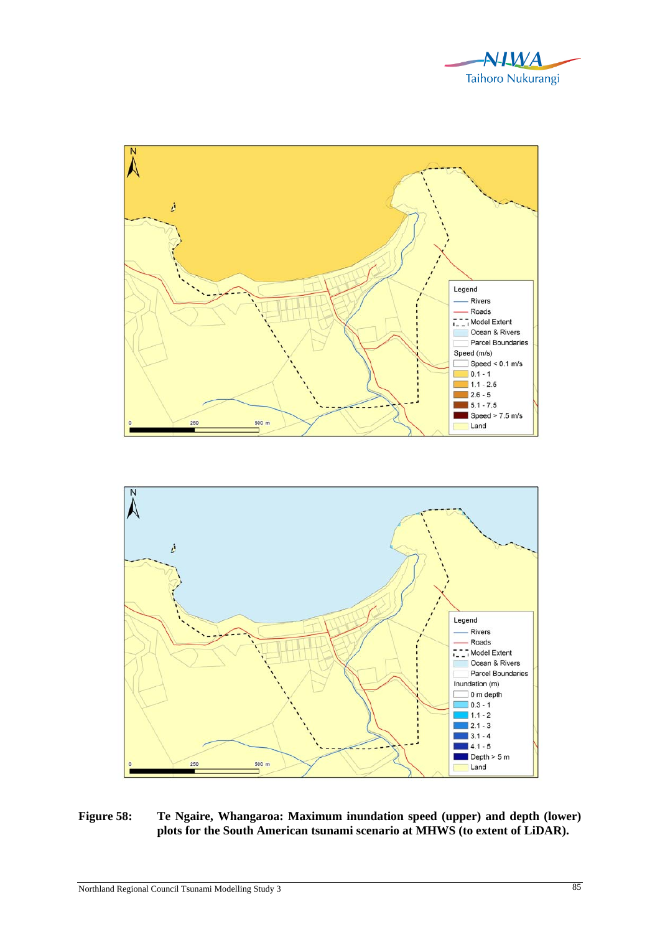



**Figure 58: Te Ngaire, Whangaroa: Maximum inundation speed (upper) and depth (lower) plots for the South American tsunami scenario at MHWS (to extent of LiDAR).**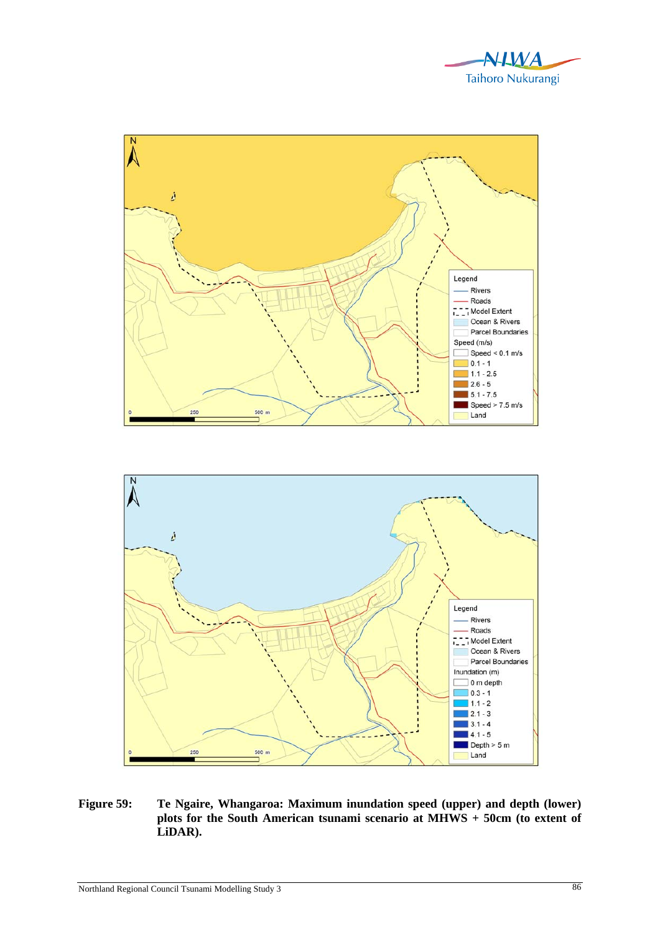



**Figure 59: Te Ngaire, Whangaroa: Maximum inundation speed (upper) and depth (lower) plots for the South American tsunami scenario at MHWS + 50cm (to extent of LiDAR).**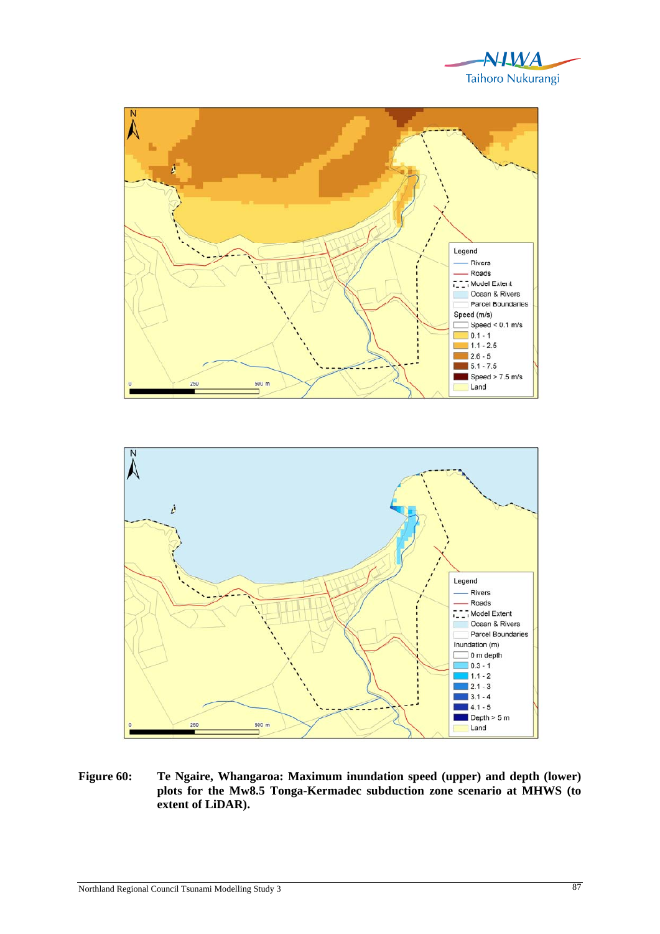





**Figure 60: Te Ngaire, Whangaroa: Maximum inundation speed (upper) and depth (lower) plots for the Mw8.5 Tonga-Kermadec subduction zone scenario at MHWS (to extent of LiDAR).**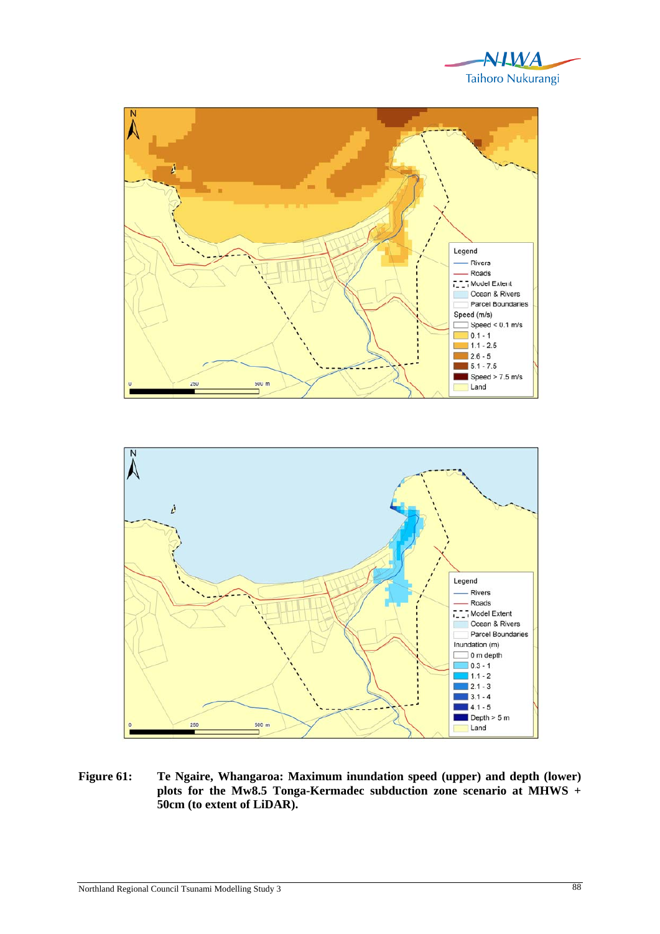





**Figure 61: Te Ngaire, Whangaroa: Maximum inundation speed (upper) and depth (lower) plots for the Mw8.5 Tonga-Kermadec subduction zone scenario at MHWS + 50cm (to extent of LiDAR).**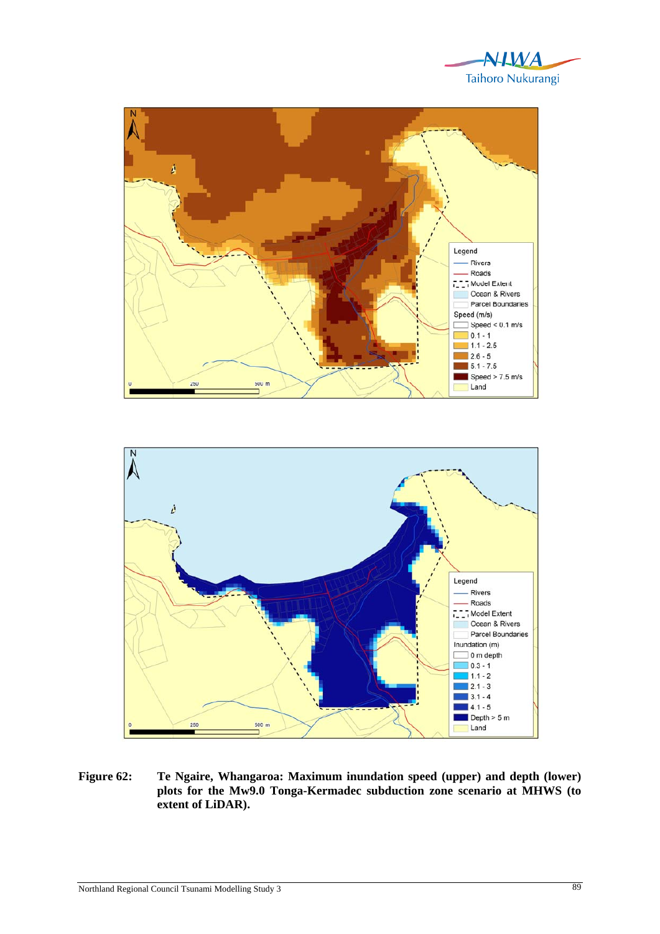





**Figure 62: Te Ngaire, Whangaroa: Maximum inundation speed (upper) and depth (lower) plots for the Mw9.0 Tonga-Kermadec subduction zone scenario at MHWS (to extent of LiDAR).**